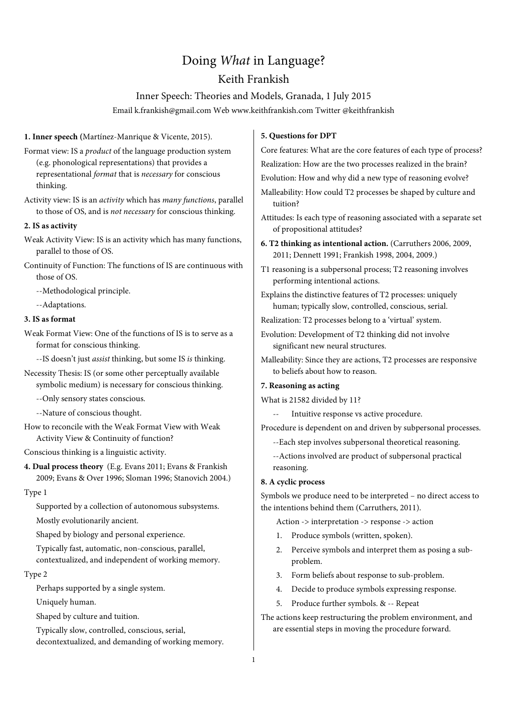# Doing What in Language?

# Keith Frankish

# Inner Speech: Theories and Models, Granada, 1 July 2015

Email k.frankish@gmail.com Web www.keithfrankish.com Twitter @keithfrankish

**1. Inner speech (**Martínez-Manrique & Vicente, 2015).

- Format view: IS a *product* of the language production system (e.g. phonological representations) that provides a representational format that is necessary for conscious thinking.
- Activity view: IS is an activity which has many functions, parallel to those of OS, and is not necessary for conscious thinking.

#### **2. IS as activity**

- Weak Activity View: IS is an activity which has many functions, parallel to those of OS.
- Continuity of Function: The functions of IS are continuous with those of OS.

--Methodological principle.

--Adaptations.

#### **3. IS as format**

- Weak Format View: One of the functions of IS is to serve as a format for conscious thinking.
	- --IS doesn't just assist thinking, but some IS is thinking.
- Necessity Thesis: IS (or some other perceptually available symbolic medium) is necessary for conscious thinking.
	- --Only sensory states conscious.
	- --Nature of conscious thought.
- How to reconcile with the Weak Format View with Weak Activity View & Continuity of function?
- Conscious thinking is a linguistic activity.
- **4. Dual process theory** (E.g. Evans 2011; Evans & Frankish 2009; Evans & Over 1996; Sloman 1996; Stanovich 2004.)

#### Type 1

Supported by a collection of autonomous subsystems. Mostly evolutionarily ancient.

Shaped by biology and personal experience.

Typically fast, automatic, non-conscious, parallel, contextualized, and independent of working memory.

#### Type 2

Perhaps supported by a single system.

Uniquely human.

Shaped by culture and tuition.

Typically slow, controlled, conscious, serial,

decontextualized, and demanding of working memory.

#### **5. Questions for DPT**

Core features: What are the core features of each type of process? Realization: How are the two processes realized in the brain?

Evolution: How and why did a new type of reasoning evolve?

- Malleability: How could T2 processes be shaped by culture and tuition?
- Attitudes: Is each type of reasoning associated with a separate set of propositional attitudes?
- **6. T2 thinking as intentional action.** (Carruthers 2006, 2009, 2011; Dennett 1991; Frankish 1998, 2004, 2009.)
- T1 reasoning is a subpersonal process; T2 reasoning involves performing intentional actions.
- Explains the distinctive features of T2 processes: uniquely human; typically slow, controlled, conscious, serial.
- Realization: T2 processes belong to a 'virtual' system.
- Evolution: Development of T2 thinking did not involve significant new neural structures.
- Malleability: Since they are actions, T2 processes are responsive to beliefs about how to reason.

#### **7. Reasoning as acting**

What is 21582 divided by 11?

Intuitive response vs active procedure.

Procedure is dependent on and driven by subpersonal processes.

--Each step involves subpersonal theoretical reasoning.

--Actions involved are product of subpersonal practical reasoning.

# **8. A cyclic process**

Symbols we produce need to be interpreted – no direct access to the intentions behind them (Carruthers, 2011).

- Action -> interpretation -> response -> action
- Produce symbols (written, spoken).
- 2. Perceive symbols and interpret them as posing a subproblem.
- 3. Form beliefs about response to sub-problem.
- 4. Decide to produce symbols expressing response.
- 5. Produce further symbols. & -- Repeat

The actions keep restructuring the problem environment, and are essential steps in moving the procedure forward.